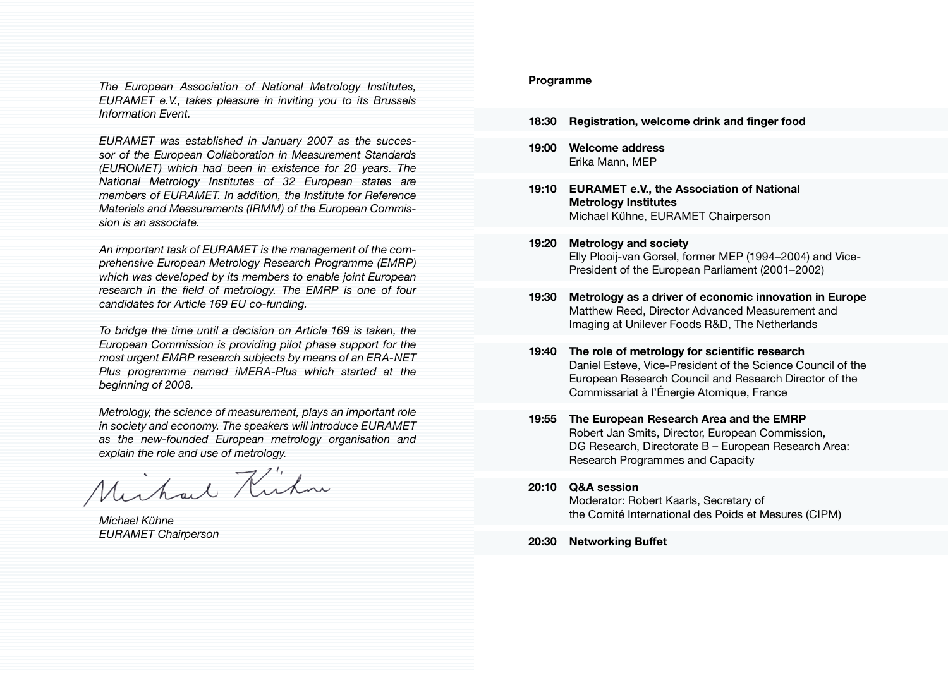*The European Association of National Metrology Institutes, EURAMET e.V., takes pleasure in inviting you to its Brussels Information Event.*

*EURAMET was established in January 2007 as the successor of the European Collaboration in Measurement Standards (EUROMET) which had been in existence for 20 years. The National Metrology Institutes of 32 European states are members of EURAMET. In addition, the Institute for Reference Materials and Measurements (IRMM) of the European Commission is an associate.*

*An important task of EURAMET is the management of the comprehensive European Metrology Research Programme (EMRP) which was developed by its members to enable joint European research in the field of metrology. The EMRP is one of four candidates for Article 169 EU co-funding.* 

*To bridge the time until a decision on Article 169 is taken, the European Commission is providing pilot phase support for the most urgent EMRP research subjects by means of an ERA-NET Plus programme named iMERA-Plus which started at the beginning of 2008.*

*Metrology, the science of measurement, plays an important role in society and economy. The speakers will introduce EURAMET as the new-founded European metrology organisation and*

explain the role and use of metrology.<br>Munkaul Kunknu

*Michael Kühne EURAMET Chairperson*

## **Programme**

- **18:30 Registration, welcome drink and finger food**
- **19:00 Welcome address** Erika Mann, MEP
- **19:10 EURAMET e.V., the Association of National Metrology Institutes** Michael Kühne, EURAMET Chairperson
- **19:20 Metrology and society** Elly Plooij-van Gorsel, former MEP (1994–2004) and Vice-President of the European Parliament (2001–2002)
- **19:30 Metrology as a driver of economic innovation in Europe**  Matthew Reed, Director Advanced Measurement and Imaging at Unilever Foods R&D, The Netherlands
- **19:40 The role of metrology for scientific research** Daniel Esteve, Vice-President of the Science Council of the European Research Council and Research Director of the Commissariat à l'Énergie Atomique, France
- **19:55 The European Research Area and the EMRP**  Robert Jan Smits, Director, European Commission, DG Research, Directorate B – European Research Area: Research Programmes and Capacity
- **20:10 Q&A session**

Moderator: Robert Kaarls, Secretary of the Comité International des Poids et Mesures (CIPM)

**20:30 Networking Buffet**